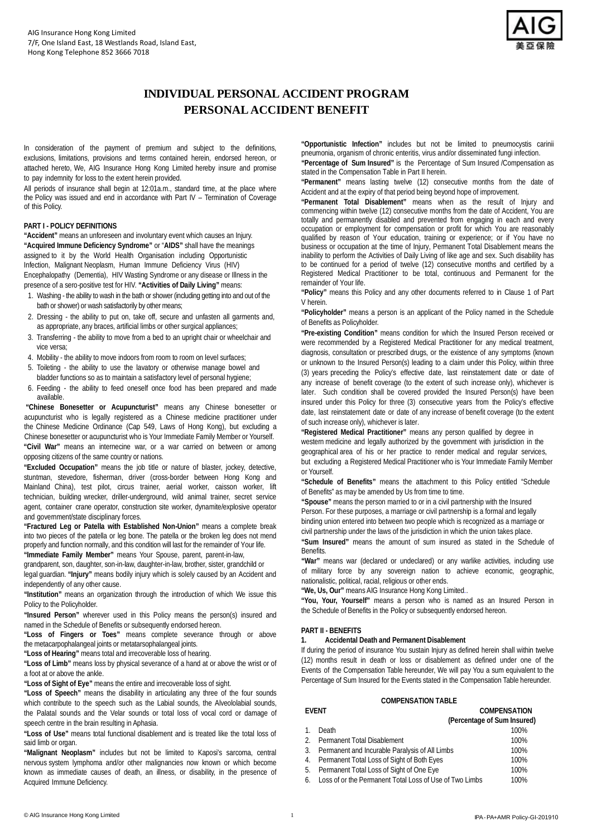

# **INDIVIDUAL PERSONAL ACCIDENT PROGRAM PERSONAL ACCIDENT BENEFIT**

In consideration of the payment of premium and subject to the definitions, exclusions, limitations, provisions and terms contained herein, endorsed hereon, or attached hereto, We, AIG Insurance Hong Kong Limited hereby insure and promise to pay indemnity for loss to the extent herein provided.

All periods of insurance shall begin at 12:01a.m., standard time, at the place where the Policy was issued and end in accordance with Part IV – Termination of Coverage of this Policy.

#### **PART I - POLICY DEFINITIONS**

**"Accident"** means an unforeseen and involuntary event which causes an Injury. **"Acquired Immune Deficiency Syndrome"** or "**AIDS"** shall have the meanings assigned to it by the World Health Organisation including Opportunistic Infection, Malignant Neoplasm, Human Immune Deficiency Virus (HIV) Encephalopathy (Dementia), HIV Wasting Syndrome or any disease or Illness in the presence of a sero-positive test for HIV. **"Activities of Daily Living"** means:

- 1. Washing the ability to wash in the bath or shower (including getting into and out of the bath or shower) or wash satisfactorily by other means;
- 2. Dressing the ability to put on, take off, secure and unfasten all garments and, as appropriate, any braces, artificial limbs or other surgical appliances;
- 3. Transferring the ability to move from a bed to an upright chair or wheelchair and vice versa;
- 4. Mobility the ability to move indoors from room to room on level surfaces;
- 5. Toileting the ability to use the lavatory or otherwise manage bowel and bladder functions so as to maintain a satisfactory level of personal hygiene;
- 6. Feeding the ability to feed oneself once food has been prepared and made available.

 **"Chinese Bonesetter or Acupuncturist"** means any Chinese bonesetter or acupuncturist who is legally registered as a Chinese medicine practitioner under the Chinese Medicine Ordinance (Cap 549, Laws of Hong Kong), but excluding a Chinese bonesetter or acupuncturist who is Your Immediate Family Member or Yourself. **"Civil War"** means an internecine war, or a war carried on between or among opposing citizens of the same country or nations.

**"Excluded Occupation"** means the job title or nature of blaster, jockey, detective, stuntman, stevedore, fisherman, driver (cross-border between Hong Kong and Mainland China), test pilot, circus trainer, aerial worker, caisson worker, lift technician, building wrecker, driller-underground, wild animal trainer, secret service agent, container crane operator, construction site worker, dynamite/explosive operator and government/state disciplinary forces.

**"Fractured Leg or Patella with Established Non-Union"** means a complete break into two pieces of the patella or leg bone. The patella or the broken leg does not mend properly and function normally, and this condition will last for the remainder of Your life. **"Immediate Family Member"** means Your Spouse, parent, parent-in-law,

grandparent, son, daughter, son-in-law, daughter-in-law, brother, sister, grandchild or legal guardian. **"Injury"** means bodily injury which is solely caused by an Accident and

independently of any other cause. **"Institution"** means an organization through the introduction of which We issue this

Policy to the Policyholder.

**"Insured Person"** wherever used in this Policy means the person(s) insured and named in the Schedule of Benefits or subsequently endorsed hereon.

**"Loss of Fingers or Toes"** means complete severance through or above the metacarpophalangeal joints or metatarsophalangeal joints.

**"Loss of Hearing"** means total and irrecoverable loss of hearing.

**"Loss of Limb"** means loss by physical severance of a hand at or above the wrist or of a foot at or above the ankle.

**"Loss of Sight of Eye"** means the entire and irrecoverable loss of sight.

**"Loss of Speech"** means the disability in articulating any three of the four sounds which contribute to the speech such as the Labial sounds, the Alveololabial sounds, the Palatal sounds and the Velar sounds or total loss of vocal cord or damage of speech centre in the brain resulting in Aphasia.

**"Loss of Use"** means total functional disablement and is treated like the total loss of said limb or organ.

**"Malignant Neoplasm"** includes but not be limited to Kaposi's sarcoma, central nervous system lymphoma and/or other malignancies now known or which become known as immediate causes of death, an illness, or disability, in the presence of Acquired Immune Deficiency.

**"Opportunistic Infection"** includes but not be limited to pneumocystis carinii pneumonia, organism of chronic enteritis, virus and/or disseminated fungi infection.

**"Percentage of Sum Insured"** is the Percentage of Sum Insured /Compensation as stated in the Compensation Table in Part II herein.

**"Permanent"** means lasting twelve (12) consecutive months from the date of Accident and at the expiry of that period being beyond hope of improvement.

**"Permanent Total Disablement"** means when as the result of Injury and commencing within twelve (12) consecutive months from the date of Accident, You are totally and permanently disabled and prevented from engaging in each and every occupation or employment for compensation or profit for which You are reasonably qualified by reason of Your education, training or experience; or if You have no business or occupation at the time of Injury, Permanent Total Disablement means the inability to perform the Activities of Daily Living of like age and sex. Such disability has to be continued for a period of twelve (12) consecutive months and certified by a Registered Medical Practitioner to be total, continuous and Permanent for the remainder of Your life.

**"Policy"** means this Policy and any other documents referred to in Clause 1 of Part V herein.

**"Policyholder"** means a person is an applicant of the Policy named in the Schedule of Benefits as Policyholder.

**"Pre-existing Condition"** means condition for which the Insured Person received or were recommended by a Registered Medical Practitioner for any medical treatment, diagnosis, consultation or prescribed drugs, or the existence of any symptoms (known or unknown to the Insured Person(s) leading to a claim under this Policy, within three (3) years preceding the Policy's effective date, last reinstatement date or date of any increase of benefit coverage (to the extent of such increase only), whichever is later. Such condition shall be covered provided the Insured Person(s) have been insured under this Policy for three (3) consecutive years from the Policy's effective date, last reinstatement date or date of any increase of benefit coverage (to the extent of such increase only), whichever is later.

**"Registered Medical Practitioner"** means any person qualified by degree in western medicine and legally authorized by the government with jurisdiction in the geographical area of his or her practice to render medical and regular services, but excluding a Registered Medical Practitioner who is Your Immediate Family Member or Yourself.

**"Schedule of Benefits"** means the attachment to this Policy entitled "Schedule of Benefits" as may be amended by Us from time to time.

**"Spouse"** means the person married to or in a civil partnership with the Insured Person. For these purposes, a marriage or civil partnership is a formal and legally binding union entered into between two people which is recognized as a marriage or civil partnership under the laws of the jurisdiction in which the union takes place.

**"Sum Insured"** means the amount of sum insured as stated in the Schedule of Benefits.

**"War"** means war (declared or undeclared) or any warlike activities, including use of military force by any sovereign nation to achieve economic, geographic, nationalistic, political, racial, religious or other ends.

**"We, Us, Our"** means AIG Insurance Hong Kong Limited*.*.

**"You, Your, Yourself"** means a person who is named as an Insured Person in the Schedule of Benefits in the Policy or subsequently endorsed hereon.

## **PART II - BENEFITS**

## **1. Accidental Death and Permanent Disablement**

If during the period of insurance You sustain Injury as defined herein shall within twelve (12) months result in death or loss or disablement as defined under one of the Events of the Compensation Table hereunder, We will pay You a sum equivalent to the Percentage of Sum Insured for the Events stated in the Compensation Table hereunder.

#### **COMPENSATION TABLE EVENT COMPENSATION**

| <b>LVLIVI</b> |                                                           | <b>UUITENJAINI</b>          |
|---------------|-----------------------------------------------------------|-----------------------------|
|               |                                                           | (Percentage of Sum Insured) |
| $1_{\cdot}$   | Death                                                     | 100%                        |
|               | 2. Permanent Total Disablement                            | 100%                        |
|               | 3. Permanent and Incurable Paralysis of All Limbs         | 100%                        |
|               | 4. Permanent Total Loss of Sight of Both Eyes             | 100%                        |
|               | 5. Permanent Total Loss of Sight of One Eye               | 100%                        |
|               | 6 Loss of or the Permanent Total Loss of Use of Two Limbs | 100%                        |

© AIG Insurance Hong Kong Limited 1 IPA - PA+AMR Policy-GI-201910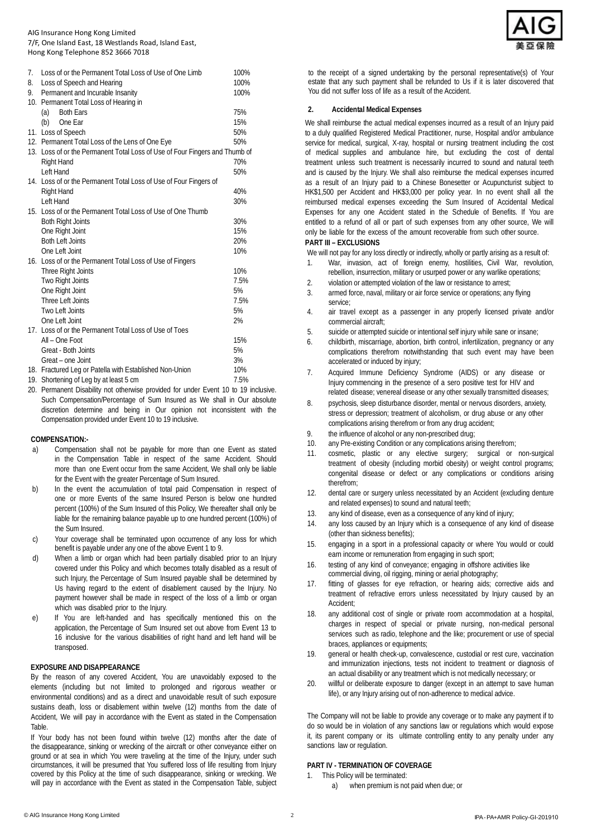#### AIG Insurance Hong Kong Limited 7/F, One Island East, 18 Westlands Road, Island East, Hong Kong Telephone 852 3666 7018

| 7. | Loss of or the Permanent Total Loss of Use of One Limb                      | 100% |  |
|----|-----------------------------------------------------------------------------|------|--|
| 8. | Loss of Speech and Hearing                                                  | 100% |  |
| 9. | Permanent and Incurable Insanity                                            | 100% |  |
|    | 10. Permanent Total Loss of Hearing in                                      |      |  |
|    | <b>Both Ears</b><br>(a)                                                     | 75%  |  |
|    | (b)<br>One Ear                                                              | 15%  |  |
|    | 11. Loss of Speech                                                          | 50%  |  |
|    | 12. Permanent Total Loss of the Lens of One Eye                             | 50%  |  |
|    | 13. Loss of or the Permanent Total Loss of Use of Four Fingers and Thumb of |      |  |
|    | <b>Right Hand</b>                                                           | 70%  |  |
|    | Left Hand                                                                   | 50%  |  |
|    | 14. Loss of or the Permanent Total Loss of Use of Four Fingers of           |      |  |
|    | <b>Right Hand</b>                                                           | 40%  |  |
|    | Left Hand                                                                   | 30%  |  |
|    | 15. Loss of or the Permanent Total Loss of Use of One Thumb                 |      |  |
|    | <b>Both Right Joints</b>                                                    | 30%  |  |
|    | One Right Joint                                                             | 15%  |  |
|    | <b>Both Left Joints</b>                                                     | 20%  |  |
|    | One Left Joint                                                              | 10%  |  |
|    | 16. Loss of or the Permanent Total Loss of Use of Fingers                   |      |  |
|    | Three Right Joints                                                          | 10%  |  |
|    | Two Right Joints                                                            | 7.5% |  |
|    | One Right Joint                                                             | 5%   |  |
|    | Three Left Joints                                                           | 7.5% |  |
|    | Two Left Joints                                                             | 5%   |  |
|    | One Left Joint                                                              | 2%   |  |
|    | 17. Loss of or the Permanent Total Loss of Use of Toes                      |      |  |
|    | All - One Foot                                                              | 15%  |  |
|    | Great - Both Joints                                                         | 5%   |  |
|    | Great - one Joint                                                           | 3%   |  |
|    | 18. Fractured Leg or Patella with Established Non-Union                     | 10%  |  |
| 10 | معرج كالممملية بنماسم الممتلوم واسمعك والمتحملات                            | 7.50 |  |

19. Shortening of Leg by at least 5 cm  $1.5\%$ 

20. Permanent Disability not otherwise provided for under Event 10 to 19 inclusive. Such Compensation/Percentage of Sum Insured as We shall in Our absolute discretion determine and being in Our opinion not inconsistent with the Compensation provided under Event 10 to 19 inclusive.

#### **COMPENSATION:-**

- a) Compensation shall not be payable for more than one Event as stated in the Compensation Table in respect of the same Accident. Should more than one Event occur from the same Accident, We shall only be liable for the Event with the greater Percentage of Sum Insured.
- b) In the event the accumulation of total paid Compensation in respect of one or more Events of the same Insured Person is below one hundred percent (100%) of the Sum Insured of this Policy, We thereafter shall only be liable for the remaining balance payable up to one hundred percent (100%) of the Sum Insured.
- c) Your coverage shall be terminated upon occurrence of any loss for which benefit is payable under any one of the above Event 1 to 9.
- d) When a limb or organ which had been partially disabled prior to an Injury covered under this Policy and which becomes totally disabled as a result of such Injury, the Percentage of Sum Insured payable shall be determined by Us having regard to the extent of disablement caused by the Injury. No payment however shall be made in respect of the loss of a limb or organ which was disabled prior to the Injury.
- e) If You are left-handed and has specifically mentioned this on the application, the Percentage of Sum Insured set out above from Event 13 to 16 inclusive for the various disabilities of right hand and left hand will be transposed.

## **EXPOSURE AND DISAPPEARANCE**

By the reason of any covered Accident, You are unavoidably exposed to the elements (including but not limited to prolonged and rigorous weather or environmental conditions) and as a direct and unavoidable result of such exposure sustains death, loss or disablement within twelve (12) months from the date of Accident, We will pay in accordance with the Event as stated in the Compensation Table.

If Your body has not been found within twelve (12) months after the date of the disappearance, sinking or wrecking of the aircraft or other conveyance either on ground or at sea in which You were traveling at the time of the Injury, under such circumstances, it will be presumed that You suffered loss of life resulting from Injury covered by this Policy at the time of such disappearance, sinking or wrecking. We will pay in accordance with the Event as stated in the Compensation Table, subject



to the receipt of a signed undertaking by the personal representative(s) of Your estate that any such payment shall be refunded to Us if it is later discovered that You did not suffer loss of life as a result of the Accident.

#### **2. Accidental Medical Expenses**

We shall reimburse the actual medical expenses incurred as a result of an Injury paid to a duly qualified Registered Medical Practitioner, nurse, Hospital and/or ambulance service for medical, surgical, X-ray, hospital or nursing treatment including the cost of medical supplies and ambulance hire, but excluding the cost of dental treatment unless such treatment is necessarily incurred to sound and natural teeth and is caused by the Injury. We shall also reimburse the medical expenses incurred as a result of an Injury paid to a Chinese Bonesetter or Acupuncturist subject to HK\$1,500 per Accident and HK\$3,000 per policy year. In no event shall all the reimbursed medical expenses exceeding the Sum Insured of Accidental Medical Expenses for any one Accident stated in the Schedule of Benefits. If You are entitled to a refund of all or part of such expenses from any other source, We will only be liable for the excess of the amount recoverable from such other source.

## **PART III – EXCLUSIONS**

We will not pay for any loss directly or indirectly, wholly or partly arising as a result of:

- 1. War, invasion, act of foreign enemy, hostilities, Civil War, revolution, rebellion, insurrection, military or usurped power or any warlike operations;
- 
- 2. violation or attempted violation of the law or resistance to arrest;<br>3. The armed force paval military or air force service or operations: an armed force, naval, military or air force service or operations; any flying service;
- 4. air travel except as a passenger in any properly licensed private and/or commercial aircraft;
- 5. suicide or attempted suicide or intentional self injury while sane or insane;
- 6. childbirth, miscarriage, abortion, birth control, infertilization, pregnancy or any complications therefrom notwithstanding that such event may have been accelerated or induced by injury;
- 7. Acquired Immune Deficiency Syndrome (AIDS) or any disease or Injury commencing in the presence of a sero positive test for HIV and related disease; venereal disease or any other sexually transmitted diseases;
- 8. psychosis, sleep disturbance disorder, mental or nervous disorders, anxiety, stress or depression; treatment of alcoholism, or drug abuse or any other complications arising therefrom or from any drug accident;
- 9. the influence of alcohol or any non-prescribed drug;
- 10. any Pre-existing Condition or any complications arising therefrom;
- 11. cosmetic, plastic or any elective surgery; surgical or non-surgical treatment of obesity (including morbid obesity) or weight control programs; congenital disease or defect or any complications or conditions arising therefrom;
- 12. dental care or surgery unless necessitated by an Accident (excluding denture and related expenses) to sound and natural teeth;
- 13. any kind of disease, even as a consequence of any kind of injury;
- 14. any loss caused by an Injury which is a consequence of any kind of disease (other than sickness benefits);
- 15. engaging in a sport in a professional capacity or where You would or could earn income or remuneration from engaging in such sport;
- 16. testing of any kind of conveyance; engaging in offshore activities like commercial diving, oil rigging, mining or aerial photography;
- 17. fitting of glasses for eye refraction, or hearing aids; corrective aids and treatment of refractive errors unless necessitated by Injury caused by an Accident;
- 18. any additional cost of single or private room accommodation at a hospital, charges in respect of special or private nursing, non-medical personal services such as radio, telephone and the like; procurement or use of special braces, appliances or equipments;
- 19. general or health check-up, convalescence, custodial or rest cure, vaccination and immunization injections, tests not incident to treatment or diagnosis of an actual disability or any treatment which is not medically necessary; or
- 20. willful or deliberate exposure to danger (except in an attempt to save human life), or any Injury arising out of non-adherence to medical advice.

The Company will not be liable to provide any coverage or to make any payment if to do so would be in violation of any sanctions law or regulations which would expose it, its parent company or its ultimate controlling entity to any penalty under any sanctions law or regulation.

#### **PART IV - TERMINATION OF COVERAGE**

- 1. This Policy will be terminated:
	- when premium is not paid when due; or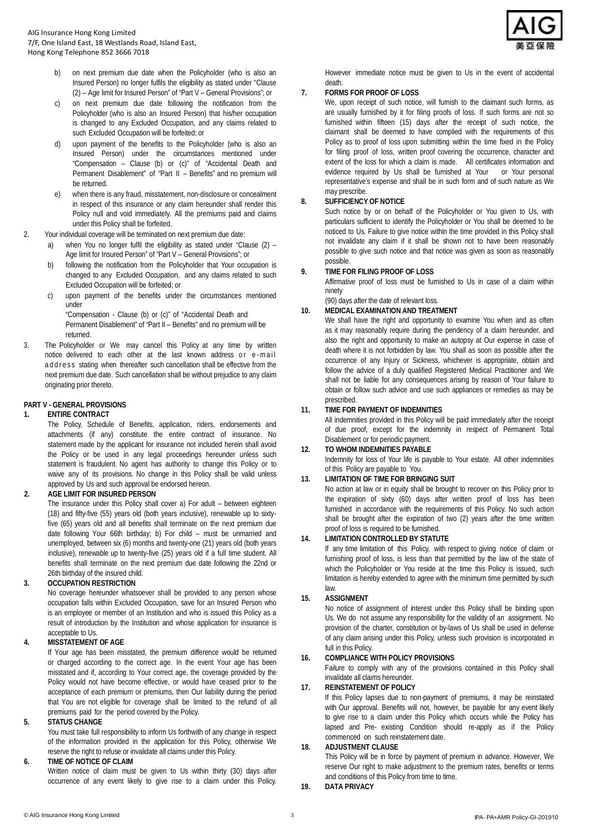- on next premium due date when the Policyholder (who is also an Insured Person) no longer fulfils the eligibility as stated under "Clause (2) – Age limit for Insured Person" of "Part V – General Provisions"; or
- on next premium due date following the notification from the Policyholder (who is also an Insured Person) that his/her occupation is changed to any Excluded Occupation, and any claims related to such Excluded Occupation will be forfeited; or
- d) upon payment of the benefits to the Policyholder (who is also an Insured Person) under the circumstances mentioned under "Compensation – Clause (b) or (c)" of "Accidental Death and Permanent Disablement" of "Part II – Benefits" and no premium will be returned.
- e) when there is any fraud, misstatement, non-disclosure or concealment in respect of this insurance or any claim hereunder shall render this Policy null and void immediately. All the premiums paid and claims under this Policy shall be forfeited.
- 2. Your individual coverage will be terminated on next premium due date:
	- a) when You no longer fulfil the eligibility as stated under "Clause (2) Age limit for Insured Person" of "Part V – General Provisions"; or
	- b) following the notification from the Policyholder that Your occupation is changed to any Excluded Occupation, and any claims related to such Excluded Occupation will be forfeited; or
	- c) upon payment of the benefits under the circumstances mentioned under

"Compensation - Clause (b) or (c)" of "Accidental Death and Permanent Disablement" of "Part II – Benefits" and no premium will be returned.

3. The Policyholder or We may cancel this Policy at any time by written notice delivered to each other at the last known address or e -mail address stating when thereafter such cancellation shall be effective from the next premium due date. Such cancellation shall be without prejudice to any claim originating prior thereto.

## **PART V - GENERAL PROVISIONS**

## **1. ENTIRE CONTRACT**

The Policy, Schedule of Benefits, application, riders, endorsements and attachments (if any) constitute the entire contract of insurance. No statement made by the applicant for insurance not included herein shall avoid the Policy or be used in any legal proceedings hereunder unless such statement is fraudulent. No agent has authority to change this Policy or to waive any of its provisions. No change in this Policy shall be valid unless approved by Us and such approval be endorsed hereon.

## **2. AGE LIMIT FOR INSURED PERSON**

The insurance under this Policy shall cover a) For adult – between eighteen (18) and fifty-five (55) years old (both years inclusive), renewable up to sixtyfive (65) years old and all benefits shall terminate on the next premium due date following Your 66th birthday; b) For child – must be unmarried and unemployed, between six (6) months and twenty-one (21) years old (both years inclusive), renewable up to twenty-five (25) years old if a full time student. All benefits shall terminate on the next premium due date following the 22nd or 26th birthday of the insured child.

## **3. OCCUPATION RESTRICTION**

No coverage hereunder whatsoever shall be provided to any person whose occupation falls within Excluded Occupation, save for an Insured Person who is an employee or member of an Institution and who is issued this Policy as a result of introduction by the Institution and whose application for insurance is acceptable to Us.

## **4. MISSTATEMENT OF AGE**

If Your age has been misstated, the premium difference would be returned or charged according to the correct age. In the event Your age has been misstated and if, according to Your correct age, the coverage provided by the Policy would not have become effective, or would have ceased prior to the acceptance of each premium or premiums, then Our liability during the period that You are not eligible for coverage shall be limited to the refund of all premiums paid for the period covered by the Policy.

## **5. STATUS CHANGE**

You must take full responsibility to inform Us forthwith of any change in respect of the information provided in the application for this Policy, otherwise We reserve the right to refuse or invalidate all claims under this Policy.

## **6. TIME OF NOTICE OF CLAIM**

Written notice of claim must be given to Us within thirty (30) days after occurrence of any event likely to give rise to a claim under this Policy.



However immediate notice must be given to Us in the event of accidental death.

## **7. FORMS FOR PROOF OF LOSS**

We, upon receipt of such notice, will furnish to the claimant such forms, as are usually furnished by it for filing proofs of loss. If such forms are not so furnished within fifteen (15) days after the receipt of such notice, the claimant shall be deemed to have complied with the requirements of this Policy as to proof of loss upon submitting within the time fixed in the Policy for filing proof of loss, written proof covering the occurrence, character and extent of the loss for which a claim is made. All certificates information and evidence required by Us shall be furnished at Your or Your personal representative's expense and shall be in such form and of such nature as We may prescribe.

## **8. SUFFICIENCY OF NOTICE**

Such notice by or on behalf of the Policyholder or You given to Us, with particulars sufficient to identify the Policyholder or You shall be deemed to be noticed to Us. Failure to give notice within the time provided in this Policy shall not invalidate any claim if it shall be shown not to have been reasonably possible to give such notice and that notice was given as soon as reasonably possible.

## **9. TIME FOR FILING PROOF OF LOSS**

Affirmative proof of loss must be furnished to Us in case of a claim within ninety

#### (90) days after the date of relevant loss. **10. MEDICAL EXAMINATION AND TREATMENT**

We shall have the right and opportunity to examine You when and as often as it may reasonably require during the pendency of a claim hereunder, and also the right and opportunity to make an autopsy at Our expense in case of death where it is not forbidden by law. You shall as soon as possible after the occurrence of any Injury or Sickness, whichever is appropriate, obtain and follow the advice of a duly qualified Registered Medical Practitioner and We shall not be liable for any consequences arising by reason of Your failure to obtain or follow such advice and use such appliances or remedies as may be prescribed.

## **11. TIME FOR PAYMENT OF INDEMNITIES**

All indemnities provided in this Policy will be paid immediately after the receipt of due proof, except for the indemnity in respect of Permanent Total Disablement or for periodic payment.

## **12. TO WHOM INDEMNITIES PAYABLE** Indemnity for loss of Your life is payable to Your estate. All other indemnities

#### of this Policy are payable to You. **13. LIMITATION OF TIME FOR BRINGING SUIT**

No action at law or in equity shall be brought to recover on this Policy prior to the expiration of sixty (60) days after written proof of loss has been furnished in accordance with the requirements of this Policy. No such action shall be brought after the expiration of two (2) years after the time written proof of loss is required to be furnished.

## **14. LIMITATION CONTROLLED BY STATUTE**

If any time limitation of this Policy, with respect to giving notice of claim or furnishing proof of loss, is less than that permitted by the law of the state of which the Policyholder or You reside at the time this Policy is issued, such limitation is hereby extended to agree with the minimum time permitted by such law.

## **15. ASSIGNMENT**

No notice of assignment of interest under this Policy shall be binding upon Us. We do not assume any responsibility for the validity of an assignment. No provision of the charter, constitution or by-laws of Us shall be used in defense of any claim arising under this Policy, unless such provision is incorporated in full in this Policy.

## **16. COMPLIANCE WITH POLICY PROVISIONS**

Failure to comply with any of the provisions contained in this Policy shall invalidate all claims hereunder.

## **17. REINSTATEMENT OF POLICY**

If this Policy lapses due to non-payment of premiums, it may be reinstated with Our approval. Benefits will not, however, be payable for any event likely to give rise to a claim under this Policy which occurs while the Policy has lapsed and Pre- existing Condition should re-apply as if the Policy commenced on such reinstatement date.

## **18. ADJUSTMENT CLAUSE**

This Policy will be in force by payment of premium in advance. However, We reserve Our right to make adjustment to the premium rates, benefits or terms and conditions of this Policy from time to time.

**19. DATA PRIVACY**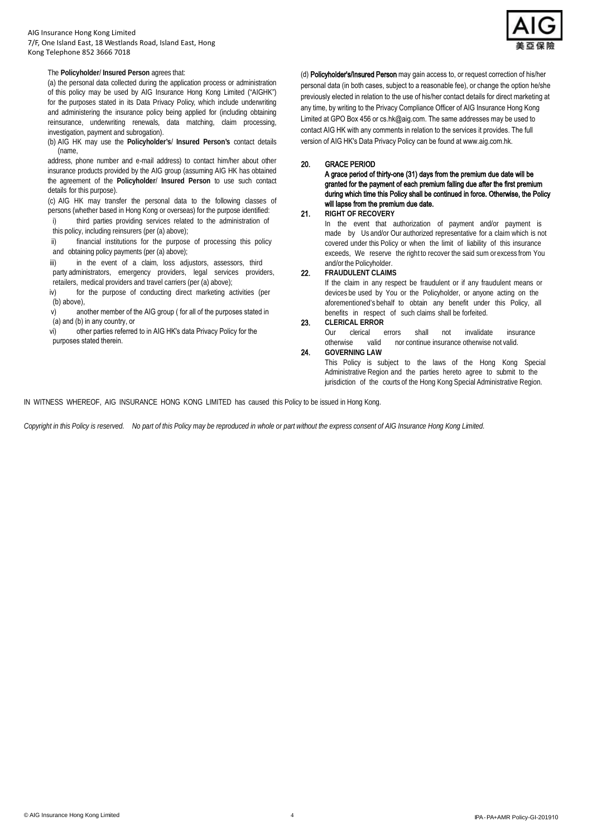#### AIG Insurance Hong Kong Limited 7/F, One Island East, 18 Westlands Road, Island East, Hong Kong Telephone 852 3666 7018



## The **Policyholder**/ **Insured Person** agrees that:

(a) the personal data collected during the application process or administration of this policy may be used by AIG Insurance Hong Kong Limited ("AIGHK") for the purposes stated in its Data Privacy Policy, which include underwriting and administering the insurance policy being applied for (including obtaining reinsurance, underwriting renewals, data matching, claim processing, investigation, payment and subrogation).

(b) AIG HK may use the **Policyholder's**/ **Insured Person's** contact details (name,

address, phone number and e-mail address) to contact him/her about other insurance products provided by the AIG group (assuming AIG HK has obtained the agreement of the **Policyholder**/ **Insured Person** to use such contact details for this purpose).

(c) AIG HK may transfer the personal data to the following classes of persons (whether based in Hong Kong or overseas) for the purpose identified:

- i) third parties providing services related to the administration of this policy, including reinsurers (per (a) above);
- ii) financial institutions for the purpose of processing this policy and obtaining policy payments (per (a) above);

iii) in the event of a claim, loss adjustors, assessors, third party administrators, emergency providers, legal services providers, retailers, medical providers and travel carriers (per (a) above);

iv) for the purpose of conducting direct marketing activities (per (b) above),

v) another member of the AIG group ( for all of the purposes stated in (a) and (b) in any country, or

vi) other parties referred to in AIG HK's data Privacy Policy for the purposes stated therein.

(d) Policyholder's/Insured Person may gain access to, or request correction of his/her personal data (in both cases, subject to a reasonable fee), or change the option he/she previously elected in relation to the use of his/her contact details for direct marketing at any time, by writing to the Privacy Compliance Officer of AIG Insurance Hong Kong Limited at GPO Box 456 or cs.hk@aig.com. The same addresses may be used to contact AIG HK with any comments in relation to the services it provides. The full version of AIG HK's Data Privacy Policy can be found at www.aig.com.hk.

## 20. GRACE PERIOD

A grace period of thirty-one (31) days from the premium due date will be granted for the payment of each premium falling due after the first premium during which time this Policy shall be continued in force. Otherwise, the Policy will lapse from the premium due date.

## 21. **RIGHT OF RECOVERY**

In the event that authorization of payment and/or payment is made by Us and/or Our authorized representative for a claim which is not covered under this Policy or when the limit of liability of this insurance exceeds, We reserve the right to recover the said sum orexcess from You and/or the Policyholder.

## 22. **FRAUDULENT CLAIMS**

If the claim in any respect be fraudulent or if any fraudulent means or devices be used by You or the Policyholder, or anyone acting on the aforementioned's behalf to obtain any benefit under this Policy, all benefits in respect of such claims shall be forfeited.

#### 23. **CLERICAL ERROR**

Our clerical errors shall not invalidate insurance<br>otherwise valid nor continue insurance otherwise not valid. valid nor continue insurance otherwise not valid.

24. **GOVERNING LAW** 

This Policy is subject to the laws of the Hong Kong Special Administrative Region and the parties hereto agree to submit to the jurisdiction of the courts of the Hong Kong Special Administrative Region.

IN WITNESS WHEREOF, AIG INSURANCE HONG KONG LIMITED has caused this Policy to be issued in Hong Kong.

*Copyright in this Policy is reserved. No part of this Policy may be reproduced in whole or part without the express consent of AIG Insurance Hong Kong Limited.*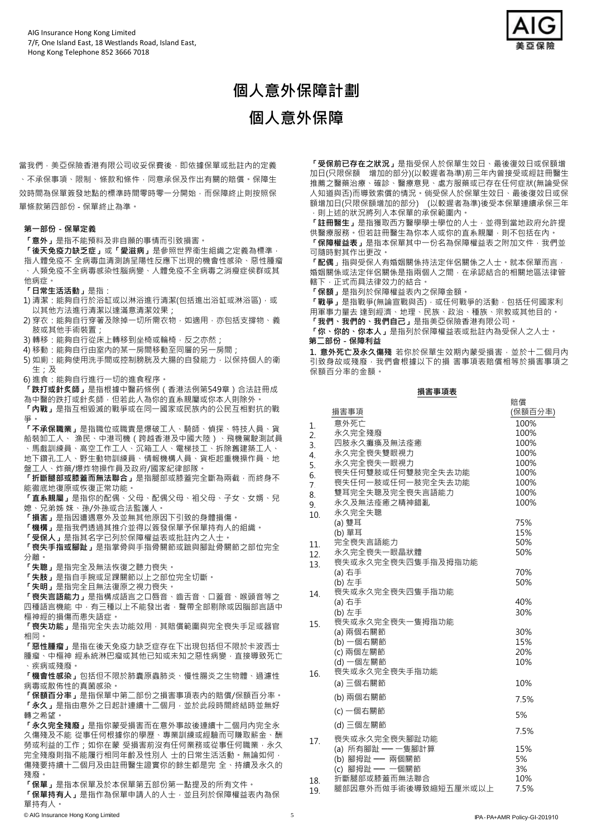

# **個人意外保障計劃**

**個人意外保障**

當我們,美亞保險香港有限公司收妥保費後,即依據保單或批註內的定義 、不承保事項、限制、條款和條件,同意承保及作出有關的賠償。保障生 效時間為保單簽發地點的標準時間零時零一分開始,而保障終止則按照保 單條款第四部份 - 保單終止為準。

#### **第一部份 - 保單定義**

**「意外」**是指不能預料及非自願的事情而引致損害。

**「後天免疫力缺乏症」**或**「愛滋病」**是參照世界衞生組織之定義為標準, 指人體免疫不 全病毒血清測詴呈陽性反應下出現的機會性感染、惡性腫瘤 、人類免疫不全病毒感染性腦病變、人體免疫不全病毒之消瘦症侯群或其 他病症。

- **「日常生活活動」**是指:
- 1) 清潔: 能夠自行於浴缸或以淋浴進行清潔(包括進出浴缸或淋浴區), 或 以其他方法進行清潔以達滿意清潔效果;
- 2) 穿衣: 能夠自行穿著及除掉一切所需衣物, 如適用, 亦包括支撐物、義 肢或其他手術裝置;
- 3) 轉移: 能夠自行從床上轉移到坐椅或輪椅, 反之亦然;
- 4) 移動: 能夠自行由室內的某一房間移動至同層的另一房間;
- 5) 如廁: 能夠使用洗手間或控制膀胱及大腸的自發能力, 以保持個人的衛 生;及
- 6) 進食:能夠自行進行一切的進食程序。
- **「跌打或針炙師」**是指根據中醫葯條例(香港法例第549章)合法註冊成 為中醫的跌打或針炙師,但若此人為你的直系親屬或你本人則除外。
- **「內戰」**是指互相毀滅的戰爭或在同一國家或民族內的公民互相對抗的戰 爭。

**「不承保職業」**是指職位或職責是爆破工人、騎師、偵探、特技人員、貨 船裝卸工人、 漁民、中港司機(跨越香港及中國大陸)、飛機駕駛測試員 、馬戲訓練員、高空工作工人、沉箱工人、電梯技工、拆除舊建築工人、 地下鑽孔工人、野生動物訓練員、情報機構人員、貨柜起重機操作員、地 盤工人、炸藥/爆炸物操作員及政府/國家紀律部隊。

「折斷腿部或膝蓋而無法聯合」是指腿部或膝蓋完全斷為兩截,而終身不 能徹底地復原或恢復正常功能。

- **「直系親屬」**是指你的配偶、父母、配偶父母、袓父母、子女、女婿、兒 媳、兄弟姊 妹、孫/外孫或合法監護人。
- **「損害」**是指因遭遇意外及並無其他原因下引致的身體損傷。
- **「機構」**是指我們透過其推介並得以簽發保單予保單持有人的組織。
- **「受保人」**是指其名字已列於保障權益表或批註內之人士。
- **「喪失手指或腳趾」**是指掌骨與手指骨關節或蹠與腳趾骨關節之部位完全 分離。
- **「失聰」**是指完全及無法恢復之聽力喪失。
- **「失肢」**是指自手腕或足踝關節以上之部位完全切斷。
- **「失明」**是指完全且無法復原之視力喪失。

**「喪失言語能力」**是指構成語言之口唇音、齒舌音、口蓋音、喉頭音等之 四種語言機能 中,有三種以上不能發出者,聲帶全部剔除或因腦部言語中 樞神經的損傷而患失語症。

**「喪失功能」**是指完全失去功能效用,其賠償範圍與完全喪失手足或器官 相同。

**「惡性腫瘤」**是指在後天免疫力缺乏症存在下出現包括但不限於卡波西士 腫瘤、中樞神 經系統淋巴瘤或其他已知或未知之惡性病變, 直接導致死亡 、疾病或殘廢。

**「機會性感染」**包括但不限於肺囊原蟲肺炎、慢性腸炎之生物體、過濾性 病毒或散佈性的真菌感染。

**「保額百分率」**是指保單中第二部份之損害事項表內的賠償/保額百分率。 **「永久」**是指由意外之日起計連續十二個月,並於此段時間終結時並無好 轉之希望。

**「永久完全殘廢」**是指你蒙受損害而在意外事故後連續十二個月內完全永 久傷殘及不能 從事任何根據你的學歷、專業訓練或經驗而可賺取薪金、酬 勞或利益的工作;如你在蒙 受損害前沒有任何業務或從事任何職業,永久 完全殘廢則指不能履行相同年齡及性別人 士的日常生活活動。無論如何, 傷殘要持續十二個月及由註冊醫生證實你的餘生都是完 全、持續及永久的 殘廢。

- **「保單」**是指本保單及於本保單第五部份第一點提及的所有文件。
- **「保單持有人」**是指作為保單申請人的人士,並且列於保障權益表內為保 單持有人。

**「受保前已存在之狀況」**是指受保人於保單生效日、最後復效日或保額增 加日(只限保額 增加的部分)(以較遲者為準)前三年內曾接受或經註冊醫生 推薦之醫藥治療、確診、醫療意見、處方服藥或已存在任何症狀(無論受保 人知道與否)而導致索償的情況。倘受保人於保單生效日、最後復效日或保 額增加日(只限保額增加的部分) (以較遲者為準)後受本保單連續承保三年 ,則上述的狀況將列入本保單的承保範圍內。

**「註冊醫生」**是指獲取西方醫學學士學位的人士,並得到當地政府允許提 供醫療服務。但若註冊醫生為你本人或你的直系親屬,則不包括在內。

**「保障權益表」**是指本保單其中一份名為保障權益表之附加文件,我們並 可隨時對其作出更改。

**「配偶**」指與受保人有婚姻關係持法定伴侶關係之人士。就本保單而言, 婚姻關係或法定伴侶關係是指兩個人之間,在承認結合的相關地區法律管 轄下,正式而具法律效力的結合。

**「保額」**是指列於保障權益表內之保障金額。

**「戰爭」**是指戰爭(無論宣戰與否),或任何戰爭的活動,包括任何國家利 用軍事力量去 達到經濟、地理、民族、政治、種族、宗教或其他目的。 **「我們、我們的、我們自己」**是指美亞保險香港有限公司。

**「你、你的、你本人」**是指列於保障權益表或批註內為受保人之人士。 **第二部份 - 保障利益**

**1. 意外死亡及永久傷殘** 若你於保單生效期內蒙受損害,並於十二個月內 引致身故或殘廢,我們會根據以下的損 害事項表賠償相等於損害事項之 保額百分率的金額。

#### **損害事項表**

|                  | 損害事項                               | <b>/ 님 보</b><br>(保額百分率) |
|------------------|------------------------------------|-------------------------|
| 1.               | 意外死亡                               | 100%                    |
| $\overline{2}$ . | 永久完全殘廢                             | 100%                    |
| 3.               | 四肢永久癱瘓及無法痊癒                        | 100%                    |
| $\overline{4}$ . | 永久完全喪失雙眼視力                         | 100%                    |
| 5.               | 永久完全喪失一眼視力                         | 100%                    |
| 6.               | 喪失任何雙肢或任何雙肢完全失去功能                  | 100%                    |
| 7.               | 喪失任何一肢或任何一肢完全失去功能                  | 100%                    |
| 8.               | 雙耳完全失聰及完全喪失言語能力                    | 100%                    |
| 9                | 永久及無法痊癒之精神錯亂                       | 100%                    |
| 10.              | 永久完全失聰                             |                         |
|                  | (a) 雙耳                             | 75%                     |
|                  | (b) 單耳                             | 15%                     |
| 11.              | 完全喪失言語能力                           | 50%                     |
| 12.              | 永久完全喪失一眼晶狀體                        | 50%                     |
| 13.              | 喪失或永久完全喪失四隻手指及拇指功能                 |                         |
|                  | (a) 右手                             | 70%                     |
|                  | (b) 左手                             | 50%                     |
| 14.              | 喪失或永久完全喪失四隻手指功能                    |                         |
|                  | (a) 右手                             | 40%                     |
|                  | (b) 左手                             | 30%                     |
| 15.              | 喪失或永久完全喪失一隻拇指功能                    |                         |
|                  | (a) 兩個右關節                          | 30%                     |
|                  | (b) 一個右關節                          | 15%                     |
|                  | (c) 兩個左關節                          | 20%                     |
|                  | (d) 一個左關節                          | 10%                     |
| 16.              | 喪失或永久完全喪失手指功能                      |                         |
|                  | (a) 三個右關節                          | 10%                     |
|                  | (b) 兩個右關節                          | 7.5%                    |
|                  | (c) 一個右關節                          | 5%                      |
|                  | (d) 三個左關節                          | 7.5%                    |
| 17.              | 喪失或永久完全喪失腳趾功能                      |                         |
|                  | (a) 所有腳趾 —— 一隻腳計算                  | 15%                     |
|                  |                                    | 5%                      |
|                  | (b) 腳拇趾 —— 兩個關節<br>(c) 腳拇趾 —— 一個關節 | 3%                      |
| 18.              | 折斷腿部或膝蓋而無法聯合                       | 10%                     |
| 19               | 腿部因意外而做手術後導致縮短五厘米或以上               | 7.5%                    |

賠償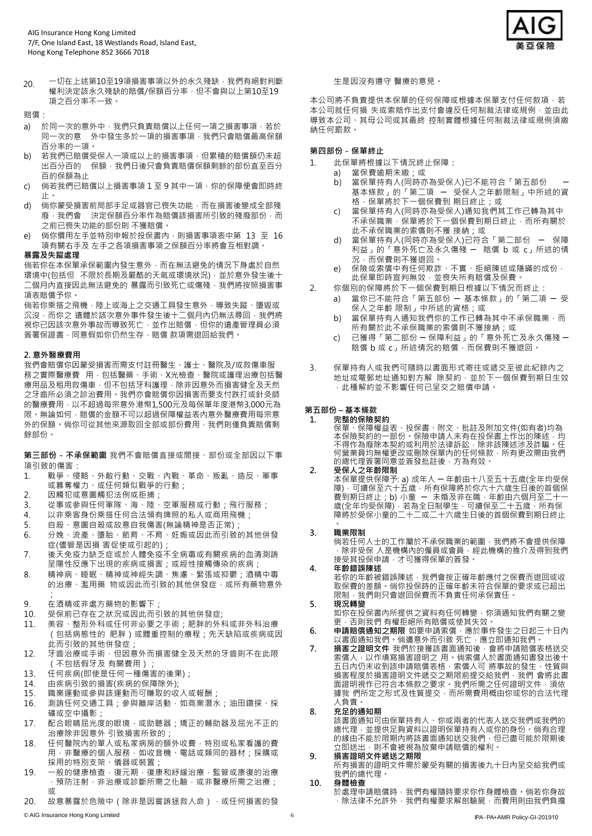

20. 一切在上述第10至19項損害事項以外的永久殘缺,我們有絕對判斷 權利決定該永久殘缺的賠償/保額百分率,但不會與以上第10至19 項之百分率不一致。

賠償:

- a) 於同一次的意外中, 我們只負責賠償以上任何一項之損害事項, 若於 同一次的意 外中發生多於一項的損害事項,我們只會賠償最高保額 百分率的一項。
- b) 若我們已賠償受保人一項或以上的損害事項,但累積的賠償額仍未超 出百分百的 保額,我們日後只會負責賠償保額剩餘的部份直至百分 百的保額為止
- c) 倘若我們已賠償以上損害事項 1 至 9 其中一項,你的保障便會即時終 止。
- d) 倘你蒙受損害前局部手足或器官已喪失功能,而在損害後變成全部殘 廢,我們會 決定保額百分率作為賠償該損害所引致的殘廢部份,而 之前已喪失功能的部份則 不獲賠償。
- e) 倘你慣用左手並特別申報於投保書內,則損害事項表中第 13 至 16 項有關右手及 左手之各項損害事項之保額百分率將會互相對調。

#### **暴露及失蹤處理**

倘若你在本保單承保範圍內發生意外,而在無法避免的情況下身處於自然 環境中(包括但 不限於長期及嚴酷的天氣或環境狀況),並於意外發生後十 - 「個月內直接因此無法避免的 暴露而引致死亡或傷殘,我們將按照損害事 項表賠償予你。

倘若你乘搭之飛機,陸上或海上之交通工具發生意外,導致失蹤、墮毀或 沉沒,而你之 遺體於該次意外事件發生後十二個月內仍無法尋回,我們將 視你已因該次意外事故而導致死亡,並作出賠償,但你的遺產管理員必須 簽署保證書,同意假如你仍然生存,賠償 款項需退回給我們。

#### **2. 意外醫療費用**

我們會賠償你因蒙受損害而需支付註冊醫生、護士、醫院及/或救傷車服 務之實際醫療費 用,包括醫藥、手術、X光檢查、醫院或護理治療包括醫 療用品及租用救傷車,但不包括牙科護理,除非因意外而損害健全及天然 之牙齒所必須之診治費用。我們亦會賠償你因損害而要支付跌打或針灸師 的醫療費用,以不超過每宗意外港幣1,500元及每保單年度港幣3,000元為 限。無論如何,賠償的金額不可以超過保障權益表內意外醫療費用每宗意 外的保額。倘你可從其他來源取回全部或部份費用,我們則僅負責賠償剩 餘部份。

**第三部份 - 不承保範圍** 我們不會賠償直接或間接、部份或全部因以下事 項引致的傷害:

- 1. 戰爭、侵略、外敵行動、交戰、內戰、革命、叛亂、造反、軍事 或篡奪權力、或任何類似戰爭的行動;
- 2. 因觸犯或意圖觸犯法例或拒捕;<br>3. 從事或參與任何軍隊、海、陸、
- 從事或參與任何軍隊、海、陸、空軍服務或行動;飛行服務;
- 4. 以非乘客身份乘搭任何合法領有牌照的私人或商用飛機;
- 5. 自殺、意圖自殺或故意自我傷害(無論精神是否正常);
- 6. 分娩、流產、墮胎、節育、不育、妊娠或因此而引致的其他併發 症(儘管是因損 害促使或引起的)
- 7. 後天免疫力缺乏症或於人體免疫不全病毒或有關疾病的血清測詴 呈陽性反應下出現的疾病或損害;或經性接觸傳染的疾病;
- 8. 精神病、睡眠、精神或神經失調、焦慮、緊張或抑鬱;酒精中毒 的治療、濫用藥 物或因此而引致的其他併發症,或所有藥物意外 ;
- 9. 在酒精或非處方藥物的影響下;<br>10 受保前已存在之狀況或因此而引
- 受保前已存在之狀況或因此而引致的其他併發症;
- 11. 美容、整形外科或任何非必要之手術;肥胖的外科或非外科治療 (包括病態性的 肥胖)或體重控制的療程;先天缺陷或疾病或因 此而引致的其他併發症;
- 12. 牙齒治療或手術,但因意外而損害健全及天然的牙齒則不在此限 (不包括假牙及 有關費用);
- 13. 任何疾病(即使是任何一種傷害的後果);
- 14. 由疾病引致的損害(疾病的保障除外);
- 15. 職業運動或參與該運動而可賺取的收入或報酬;
- 16. 測詴任何交通工具;參與離岸活動,如商業潛水;油田鑽探、採 礦或空中攝影;
- 17. 配合眼睛屈光度的眼境,或助聽器;矯正的輔助器及屈光不正的 治療除非因意外 引致損害所致的;
- 18. 任何醫院內的單人或私家病房的額外收費,特別或私家看護的費 用,非醫療的個人服務,如收音機、電話或類同的器材;採購或 採用的特別支架、儀器或裝置;
- 19. 一般的健康檢查,復元期,復康和紓緩治療,監管或康復的治療 , <br>,預防注射 · 非治療或診斷所需之化驗 · 或非醫療所需之治療; 或
- 20. 故意暴露於危險中 (除非是因嘗詴拯救人命),或任何損害的發

#### 生是因沒有遵守 醫療的意見。

本公司將不負責提供本保單的任何保障或根據本保單支付任何款項,若 本公司就任何損 失或索賠作出支付會違反任何制裁法律或規例,並由此 導致本公司、其母公司或其最終 控制實體根據任何制裁法律或規例須繳 納任何罰款。

#### **第四部份 - 保單終止**

- 1. 此保單將根據以下情況終止保障:<br>a) 當保費逾期未繳·或
	- 當保費逾期未繳;或
	- b) 當保單持有人(同時亦為受保人)已不能符合「第五部份 ─ 基本條款」的「第二項 ─ 受保人之年齡限制」中所述的資 格,保單將於下一個保費到 期日終止;或
	- c) 當保單持有人(同時亦為受保人)通知我們其工作已轉為其中 不承保職業,保單將於下一個保費到期日終止,而所有關於 此不承保職業的索償則不獲 接納;或
	- d) 當保單持有人(同時亦為受保人)已符合「第二部份 ─ 保障 利益」的「意外死亡及永久傷殘 ─ 賠償 b 或 c」所述的情 況,而保費則不獲退回。
	- e) 保險或索償中有任何欺詐、不實、拒絕陳述或隱暪的成份, 此保單即時宣判無效,並喪失所有賠償及保費。
- 2. 你個別的保障將於下一個保費到期日根據以下情況而終止:
	- a) 當你已不能符合「第五部份 ─ 基本條款」的「第二項 ─ 受 保人之年齡 限制」中所述的資格;或
	- b) 當保單持有人通知我們你的工作已轉為其中不承保職業,而 所有關於此不承保職業的索償則不獲接納;或
	- c) 已獲得「第二部份 ─ 保障利益」的「意外死亡及永久傷殘 ─ 賠償 b 或 c」所述情況的賠償,而保費則不獲退回。
- 3. 保單持有人或我們可隨時以書面形式寄往或遞交至彼此紀錄內之 地址或電郵地址通知對方解 除契約,並於下一個保費到期日生效 ,此種解約並不影響任何已呈交之賠償申請。

#### **第五部份 – 基本條款**

#### **1. 完整的保險契約**

保單、保障權益表、投保書、附文、批註及附加文件(如有者)均為 本保險契約的一部份。保險申請人未有在投保書上作出的陳述,均 不得作為廢除本契約或利用於法律訴訟, 除非該陳述涉及詐騙**。**仕 何營業員均無權更改或刪除保單内的仕何條款,所有更改需由我們 的總代理簽署同意並簽發批註後,方為有效。

**2. 受保人之年齡限制**

本保單提供保障予: a) 成年人 ─ 年齡由十八至五十五歲(全年均受保 障) · 可續保全六十五歲 · 所有保障將於你六十六歲生日後的首個保 費到期日終止;b) 小童 ー 未婚及非在職,年齡由六個月全二十一 歲(全年均受保障)・若為全日制學生・可續保全二十五歲・所有保 障將於受保小童的二十二或二十六歲生日後的首個保費到期日終止

。 **3. 職業限制**

倘若任何人士的工作屬於不承保職業的範圍,我們將不會提供保障 ,除非受保 人是機構內的僱員或會員,經此機構的推介及得到我們 接受其投保申請,才可獲得保單的簽發。

**4. 年齡錯誤陳述**

若你的年齡被錯誤陳述,我們會按正確年齡應付之保費而退回或收 取保費的差額。倘你投保時的正確年齡未符合保單的要求或已超出 限制,我們則只會退回保費而不負責任何承保責任。

**5. 現況轉變**

如你在投保書內所提供之資料有任何轉變,你須通知我們有關之變 ....<br>更 · 否則我們 有權拒絕所有賠償或使其失效。

- 6. 申請賠償通知之期限 如要申請索償,應於事件發生之日起三十日內 以書面通知我們。倘遭意外而引致 死亡,應立即通知我們。
- **7. 損害之證明文件** 我們於接獲該書面通知後,會將申請賠償表格送交 索償人,以作填寫損害證明之 用。倘索償人於書面通知書發出後十 五日內仍未收到該申請賠償表格,索償人可 將事故的發生、性質與 損害程度於損害證明文件遞交之期限前提交給我們,我們 會將此書 面證明視作已符合本條款之要求。我們所需之任何證明文件,須依 據我 們所定之形式及性質提交,而所需費用概由你或你的合法代理 人負責。

#### **8. 充足的通知期**

該書面通知可由保單持有人、你或兩者的代表人送交我們或我們的 總代理,並提供足夠資料以證明保單持有人或你的身份。倘有合理 的緣由不能於限期內將該書面通知送交我們,但已盡可能於限期後 立即送出,則不會被視為放棄申請賠償的權利。

## **9. 損害證明文件遞送之期限**

所有損害的證明文件需於蒙受有關的損害後九十日內呈交給我們或 我們的總代理。

#### **10. 身體檢查**

於處理申請賠償時,我們有權隨時要求你作身體檢查。倘若你身故 除法律不允許外,我們有權要求解剖驗屍,而費用則由我們負擔